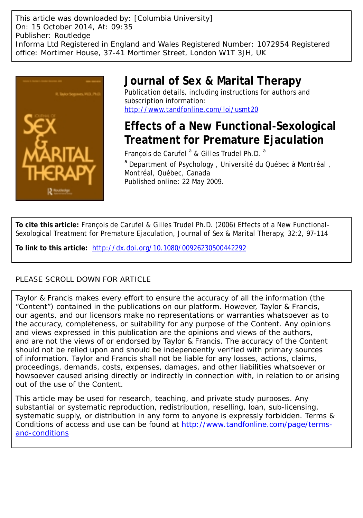This article was downloaded by: [Columbia University] On: 15 October 2014, At: 09:35 Publisher: Routledge Informa Ltd Registered in England and Wales Registered Number: 1072954 Registered office: Mortimer House, 37-41 Mortimer Street, London W1T 3JH, UK



# **Journal of Sex & Marital Therapy**

Publication details, including instructions for authors and subscription information: <http://www.tandfonline.com/loi/usmt20>

# **Effects of a New Functional-Sexological Treatment for Premature Ejaculation**

François de Carufel<sup>a</sup> & Gilles Trudel Ph.D.<sup>a</sup> <sup>a</sup> Department of Psychology, Université du Québec à Montréal, Montréal, Québec, Canada Published online: 22 May 2009.

**To cite this article:** François de Carufel & Gilles Trudel Ph.D. (2006) Effects of a New Functional-Sexological Treatment for Premature Ejaculation, Journal of Sex & Marital Therapy, 32:2, 97-114

**To link to this article:** <http://dx.doi.org/10.1080/00926230500442292>

# PLEASE SCROLL DOWN FOR ARTICLE

Taylor & Francis makes every effort to ensure the accuracy of all the information (the "Content") contained in the publications on our platform. However, Taylor & Francis, our agents, and our licensors make no representations or warranties whatsoever as to the accuracy, completeness, or suitability for any purpose of the Content. Any opinions and views expressed in this publication are the opinions and views of the authors, and are not the views of or endorsed by Taylor & Francis. The accuracy of the Content should not be relied upon and should be independently verified with primary sources of information. Taylor and Francis shall not be liable for any losses, actions, claims, proceedings, demands, costs, expenses, damages, and other liabilities whatsoever or howsoever caused arising directly or indirectly in connection with, in relation to or arising out of the use of the Content.

This article may be used for research, teaching, and private study purposes. Any substantial or systematic reproduction, redistribution, reselling, loan, sub-licensing, systematic supply, or distribution in any form to anyone is expressly forbidden. Terms & Conditions of access and use can be found at [http://www.tandfonline.com/page/terms](http://www.tandfonline.com/page/terms-and-conditions)[and-conditions](http://www.tandfonline.com/page/terms-and-conditions)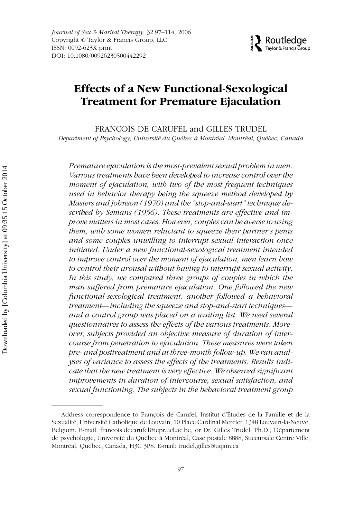

# **Effects of a New Functional-Sexological Treatment for Premature Ejaculation**

FRANÇOIS DE CARUFEL and GILLES TRUDEL *Department of Psychology, Universit´e du Qu´ebec `a Montr´eal, Montr´eal, Qu´ebec, Canada*

*Premature ejaculation is the most-prevalent sexual problem in men. Various treatments have been developed to increase control over the moment of ejaculation, with two of the most frequent techniques used in behavior therapy being the squeeze method developed by Masters and Johnson (1970) and the "stop-and-start" technique described by Semans (1956). These treatments are effective and improve matters in most cases. However, couples can be averse to using them, with some women reluctant to squeeze their partner's penis and some couples unwilling to interrupt sexual interaction once initiated. Under a new functional-sexological treatment intended to improve control over the moment of ejaculation, men learn how to control their arousal without having to interrupt sexual activity. In this study, we compared three groups of couples in which the man suffered from premature ejaculation. One followed the new functional-sexological treatment, another followed a behavioral treatment—including the squeeze and stop-and-start techniques and a control group was placed on a waiting list. We used several questionnaires to assess the effects of the various treatments. Moreover, subjects provided an objective measure of duration of intercourse from penetration to ejaculation. These measures were taken pre- and posttreatment and at three-month follow-up. We ran analyses of variance to assess the effects of the treatments. Results indicate that the new treatment is very effective. We observed significant improvements in duration of intercourse, sexual satisfaction, and sexual functioning. The subjects in the behavioral treatment group*

Address correspondence to François de Carufel, Institut d'Études de la Famille et de la Sexualité, Université Catholique de Louvain, 10 Place Cardinal Mercier, 1348 Louvain-la-Neuve, Belgium. E-mail: francois.decarufel@iepr.ucl.ac.be, or Dr. Gilles Trudel, Ph.D., Département de psychologie, Université du Québec à Montréal, Case postale 8888, Succursale Centre Ville, Montréal, Québec, Canada, H3C 3P8. E-mail: trudel.gilles@uqam.ca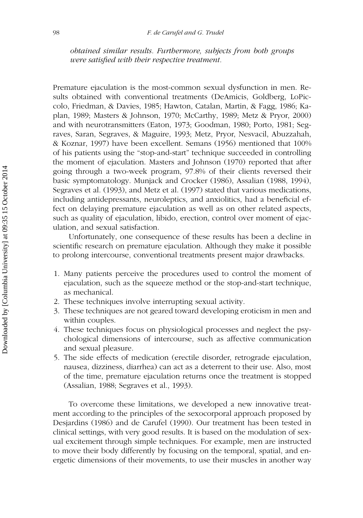*obtained similar results. Furthermore, subjects from both groups were satisfied with their respective treatment.*

Premature ejaculation is the most-common sexual dysfunction in men. Results obtained with conventional treatments (DeAmicis, Goldberg, LoPiccolo, Friedman, & Davies, 1985; Hawton, Catalan, Martin, & Fagg, 1986; Kaplan, 1989; Masters & Johnson, 1970; McCarthy, 1989; Metz & Pryor, 2000) and with neurotransmitters (Eaton, 1973; Goodman, 1980; Porto, 1981; Segraves, Saran, Segraves, & Maguire, 1993; Metz, Pryor, Nesvacil, Abuzzahah, & Koznar, 1997) have been excellent. Semans (1956) mentioned that 100% of his patients using the "stop-and-start" technique succeeded in controlling the moment of ejaculation. Masters and Johnson (1970) reported that after going through a two-week program, 97.8% of their clients reversed their basic symptomatology. Munjack and Crocker (1986), Assalian (1988, 1994), Segraves et al. (1993), and Metz et al. (1997) stated that various medications, including antidepressants, neuroleptics, and anxiolitics, had a beneficial effect on delaying premature ejaculation as well as on other related aspects, such as quality of ejaculation, libido, erection, control over moment of ejaculation, and sexual satisfaction.

Unfortunately, one consequence of these results has been a decline in scientific research on premature ejaculation. Although they make it possible to prolong intercourse, conventional treatments present major drawbacks.

- 1. Many patients perceive the procedures used to control the moment of ejaculation, such as the squeeze method or the stop-and-start technique, as mechanical.
- 2. These techniques involve interrupting sexual activity.
- 3. These techniques are not geared toward developing eroticism in men and within couples.
- 4. These techniques focus on physiological processes and neglect the psychological dimensions of intercourse, such as affective communication and sexual pleasure.
- 5. The side effects of medication (erectile disorder, retrograde ejaculation, nausea, dizziness, diarrhea) can act as a deterrent to their use. Also, most of the time, premature ejaculation returns once the treatment is stopped (Assalian, 1988; Segraves et al., 1993).

To overcome these limitations, we developed a new innovative treatment according to the principles of the sexocorporal approach proposed by Desjardins (1986) and de Carufel (1990). Our treatment has been tested in clinical settings, with very good results. It is based on the modulation of sexual excitement through simple techniques. For example, men are instructed to move their body differently by focusing on the temporal, spatial, and energetic dimensions of their movements, to use their muscles in another way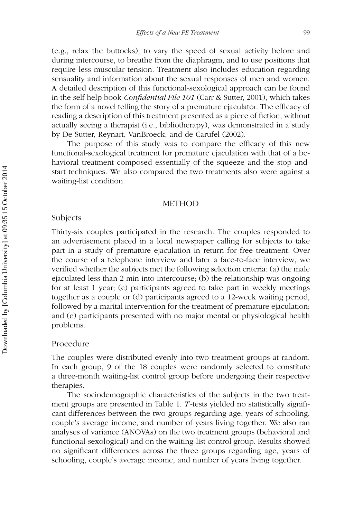(e.g., relax the buttocks), to vary the speed of sexual activity before and during intercourse, to breathe from the diaphragm, and to use positions that require less muscular tension. Treatment also includes education regarding sensuality and information about the sexual responses of men and women. A detailed description of this functional-sexological approach can be found in the self help book *Confidential File 101* (Carr & Sutter, 2001), which takes the form of a novel telling the story of a premature ejaculator. The efficacy of reading a description of this treatment presented as a piece of fiction, without actually seeing a therapist (i.e., bibliotherapy), was demonstrated in a study by De Sutter, Reynart, VanBroeck, and de Carufel (2002).

The purpose of this study was to compare the efficacy of this new functional-sexological treatment for premature ejaculation with that of a behavioral treatment composed essentially of the squeeze and the stop andstart techniques. We also compared the two treatments also were against a waiting-list condition.

#### **METHOD**

#### Subjects

Thirty-six couples participated in the research. The couples responded to an advertisement placed in a local newspaper calling for subjects to take part in a study of premature ejaculation in return for free treatment. Over the course of a telephone interview and later a face-to-face interview, we verified whether the subjects met the following selection criteria: (a) the male ejaculated less than 2 min into intercourse; (b) the relationship was ongoing for at least 1 year; (c) participants agreed to take part in weekly meetings together as a couple or (d) participants agreed to a 12-week waiting period, followed by a marital intervention for the treatment of premature ejaculation; and (e) participants presented with no major mental or physiological health problems.

#### Procedure

The couples were distributed evenly into two treatment groups at random. In each group, 9 of the 18 couples were randomly selected to constitute a three-month waiting-list control group before undergoing their respective therapies.

The sociodemographic characteristics of the subjects in the two treatment groups are presented in Table 1. *T* -tests yielded no statistically significant differences between the two groups regarding age, years of schooling, couple's average income, and number of years living together. We also ran analyses of variance (ANOVAs) on the two treatment groups (behavioral and functional-sexological) and on the waiting-list control group. Results showed no significant differences across the three groups regarding age, years of schooling, couple's average income, and number of years living together.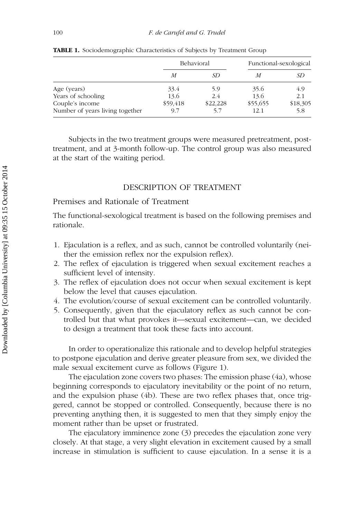|                                 |          | Behavioral | Functional-sexological |          |  |
|---------------------------------|----------|------------|------------------------|----------|--|
|                                 | М        |            | М                      | SD       |  |
| Age (years)                     | 33.4     | 5.9        | 35.6                   | 4.9      |  |
| Years of schooling              | 13.6     | 2.4        | 13.6                   | 2.1      |  |
| Couple's income                 | \$59,418 | \$22,228   | \$55,655               | \$18,305 |  |
| Number of years living together | 9.7      | 5.7        | 12.1                   | 5.8      |  |

**TABLE 1.** Sociodemographic Characteristics of Subjects by Treatment Group

Subjects in the two treatment groups were measured pretreatment, posttreatment, and at 3-month follow-up. The control group was also measured at the start of the waiting period.

# DESCRIPTION OF TREATMENT

Premises and Rationale of Treatment

The functional-sexological treatment is based on the following premises and rationale.

- 1. Ejaculation is a reflex, and as such, cannot be controlled voluntarily (neither the emission reflex nor the expulsion reflex).
- 2. The reflex of ejaculation is triggered when sexual excitement reaches a sufficient level of intensity.
- 3. The reflex of ejaculation does not occur when sexual excitement is kept below the level that causes ejaculation.
- 4. The evolution/course of sexual excitement can be controlled voluntarily.
- 5. Consequently, given that the ejaculatory reflex as such cannot be controlled but that what provokes it—sexual excitement—can, we decided to design a treatment that took these facts into account.

In order to operationalize this rationale and to develop helpful strategies to postpone ejaculation and derive greater pleasure from sex, we divided the male sexual excitement curve as follows (Figure 1).

The ejaculation zone covers two phases: The emission phase (4a), whose beginning corresponds to ejaculatory inevitability or the point of no return, and the expulsion phase (4b). These are two reflex phases that, once triggered, cannot be stopped or controlled. Consequently, because there is no preventing anything then, it is suggested to men that they simply enjoy the moment rather than be upset or frustrated.

The ejaculatory imminence zone (3) precedes the ejaculation zone very closely. At that stage, a very slight elevation in excitement caused by a small increase in stimulation is sufficient to cause ejaculation. In a sense it is a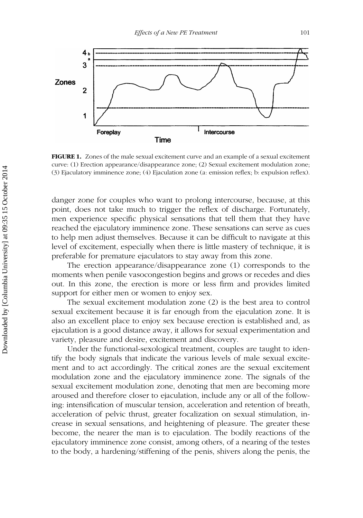

**FIGURE 1.** Zones of the male sexual excitement curve and an example of a sexual excitement curve: (1) Erection appearance/disappearance zone; (2) Sexual excitement modulation zone; (3) Ejaculatory imminence zone; (4) Ejaculation zone (a: emission reflex; b: expulsion reflex).

danger zone for couples who want to prolong intercourse, because, at this point, does not take much to trigger the reflex of discharge. Fortunately, men experience specific physical sensations that tell them that they have reached the ejaculatory imminence zone. These sensations can serve as cues to help men adjust themselves. Because it can be difficult to navigate at this level of excitement, especially when there is little mastery of technique, it is preferable for premature ejaculators to stay away from this zone.

The erection appearance/disappearance zone (1) corresponds to the moments when penile vasocongestion begins and grows or recedes and dies out. In this zone, the erection is more or less firm and provides limited support for either men or women to enjoy sex.

The sexual excitement modulation zone (2) is the best area to control sexual excitement because it is far enough from the ejaculation zone. It is also an excellent place to enjoy sex because erection is established and, as ejaculation is a good distance away, it allows for sexual experimentation and variety, pleasure and desire, excitement and discovery.

Under the functional-sexological treatment, couples are taught to identify the body signals that indicate the various levels of male sexual excitement and to act accordingly. The critical zones are the sexual excitement modulation zone and the ejaculatory imminence zone. The signals of the sexual excitement modulation zone, denoting that men are becoming more aroused and therefore closer to ejaculation, include any or all of the following: intensification of muscular tension, acceleration and retention of breath, acceleration of pelvic thrust, greater focalization on sexual stimulation, increase in sexual sensations, and heightening of pleasure. The greater these become, the nearer the man is to ejaculation. The bodily reactions of the ejaculatory imminence zone consist, among others, of a nearing of the testes to the body, a hardening/stiffening of the penis, shivers along the penis, the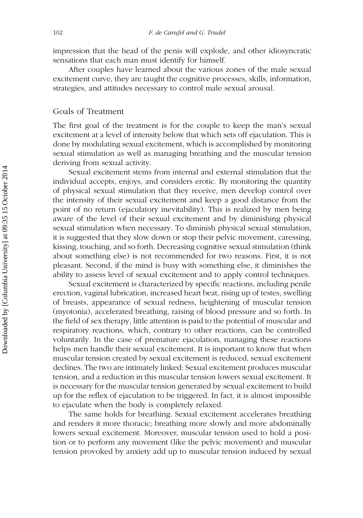impression that the head of the penis will explode, and other idiosyncratic sensations that each man must identify for himself.

After couples have learned about the various zones of the male sexual excitement curve, they are taught the cognitive processes, skills, information, strategies, and attitudes necessary to control male sexual arousal.

# Goals of Treatment

The first goal of the treatment is for the couple to keep the man's sexual excitement at a level of intensity below that which sets off ejaculation. This is done by modulating sexual excitement, which is accomplished by monitoring sexual stimulation as well as managing breathing and the muscular tension deriving from sexual activity.

Sexual excitement stems from internal and external stimulation that the individual accepts, enjoys, and considers erotic. By monitoring the quantity of physical sexual stimulation that they receive, men develop control over the intensity of their sexual excitement and keep a good distance from the point of no return (ejaculatory inevitability). This is realized by men being aware of the level of their sexual excitement and by diminishing physical sexual stimulation when necessary. To diminish physical sexual stimulation, it is suggested that they slow down or stop their pelvic movement, caressing, kissing, touching, and so forth. Decreasing cognitive sexual stimulation (think about something else) is not recommended for two reasons. First, it is not pleasant. Second, if the mind is busy with something else, it diminishes the ability to assess level of sexual excitement and to apply control techniques.

Sexual excitement is characterized by specific reactions, including penile erection, vaginal lubrication, increased heart beat, rising up of testes, swelling of breasts, appearance of sexual redness, heightening of muscular tension (myotonia), accelerated breathing, raising of blood pressure and so forth. In the field of sex therapy, little attention is paid to the potential of muscular and respiratory reactions, which, contrary to other reactions, can be controlled voluntarily. In the case of premature ejaculation, managing these reactions helps men handle their sexual excitement. It is important to know that when muscular tension created by sexual excitement is reduced, sexual excitement declines. The two are intimately linked: Sexual excitement produces muscular tension, and a reduction in this muscular tension lowers sexual excitement. It is necessary for the muscular tension generated by sexual excitement to build up for the reflex of ejaculation to be triggered. In fact, it is almost impossible to ejaculate when the body is completely relaxed.

The same holds for breathing. Sexual excitement accelerates breathing and renders it more thoracic; breathing more slowly and more abdominally lowers sexual excitement. Moreover, muscular tension used to hold a position or to perform any movement (like the pelvic movement) and muscular tension provoked by anxiety add up to muscular tension induced by sexual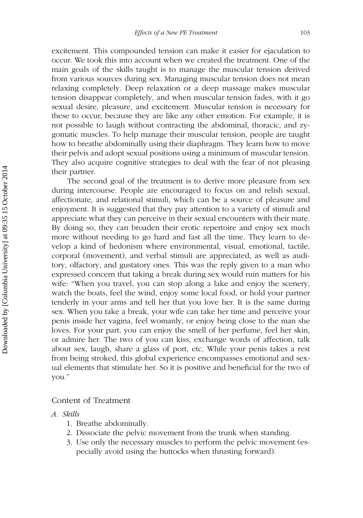excitement. This compounded tension can make it easier for ejaculation to occur. We took this into account when we created the treatment. One of the main goals of the skills taught is to manage the muscular tension derived from various sources during sex. Managing muscular tension does not mean relaxing completely. Deep relaxation or a deep massage makes muscular tension disappear completely, and when muscular tension fades, with it go sexual desire, pleasure, and excitement. Muscular tension is necessary for these to occur, because they are like any other emotion. For example, it is not possible to laugh without contracting the abdominal, thoracic, and zygomatic muscles. To help manage their muscular tension, people are taught how to breathe abdominally using their diaphragm. They learn how to move their pelvis and adopt sexual positions using a minimum of muscular tension. They also acquire cognitive strategies to deal with the fear of not pleasing their partner.

The second goal of the treatment is to derive more pleasure from sex during intercourse. People are encouraged to focus on and relish sexual, affectionate, and relational stimuli, which can be a source of pleasure and enjoyment. It is suggested that they pay attention to a variety of stimuli and appreciate what they can perceive in their sexual encounters with their mate. By doing so, they can broaden their erotic repertoire and enjoy sex much more without needing to go hard and fast all the time. They learn to develop a kind of hedonism where environmental, visual, emotional, tactile, corporal (movement), and verbal stimuli are appreciated, as well as auditory, olfactory, and gustatory ones. This was the reply given to a man who expressed concern that taking a break during sex would ruin matters for his wife: "When you travel, you can stop along a lake and enjoy the scenery, watch the boats, feel the wind, enjoy some local food, or hold your partner tenderly in your arms and tell her that you love her. It is the same during sex. When you take a break, your wife can take her time and perceive your penis inside her vagina, feel womanly, or enjoy being close to the man she loves. For your part, you can enjoy the smell of her perfume, feel her skin, or admire her. The two of you can kiss, exchange words of affection, talk about sex, laugh, share a glass of port, etc. While your penis takes a rest from being stroked, this global experience encompasses emotional and sexual elements that stimulate her. So it is positive and beneficial for the two of you."

#### Content of Treatment

#### *A. Skills*

- 1. Breathe abdominally.
- 2. Dissociate the pelvic movement from the trunk when standing.
- 3. Use only the necessary muscles to perform the pelvic movement (especially avoid using the buttocks when thrusting forward).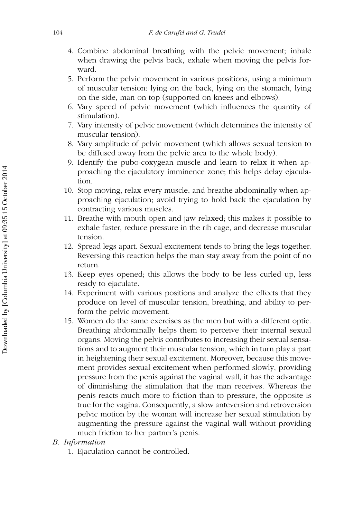- 4. Combine abdominal breathing with the pelvic movement; inhale when drawing the pelvis back, exhale when moving the pelvis forward.
- 5. Perform the pelvic movement in various positions, using a minimum of muscular tension: lying on the back, lying on the stomach, lying on the side, man on top (supported on knees and elbows).
- 6. Vary speed of pelvic movement (which influences the quantity of stimulation).
- 7. Vary intensity of pelvic movement (which determines the intensity of muscular tension).
- 8. Vary amplitude of pelvic movement (which allows sexual tension to be diffused away from the pelvic area to the whole body).
- 9. Identify the pubo-coxygean muscle and learn to relax it when approaching the ejaculatory imminence zone; this helps delay ejaculation.
- 10. Stop moving, relax every muscle, and breathe abdominally when approaching ejaculation; avoid trying to hold back the ejaculation by contracting various muscles.
- 11. Breathe with mouth open and jaw relaxed; this makes it possible to exhale faster, reduce pressure in the rib cage, and decrease muscular tension.
- 12. Spread legs apart. Sexual excitement tends to bring the legs together. Reversing this reaction helps the man stay away from the point of no return.
- 13. Keep eyes opened; this allows the body to be less curled up, less ready to ejaculate.
- 14. Experiment with various positions and analyze the effects that they produce on level of muscular tension, breathing, and ability to perform the pelvic movement.
- 15. Women do the same exercises as the men but with a different optic. Breathing abdominally helps them to perceive their internal sexual organs. Moving the pelvis contributes to increasing their sexual sensations and to augment their muscular tension, which in turn play a part in heightening their sexual excitement. Moreover, because this movement provides sexual excitement when performed slowly, providing pressure from the penis against the vaginal wall, it has the advantage of diminishing the stimulation that the man receives. Whereas the penis reacts much more to friction than to pressure, the opposite is true for the vagina. Consequently, a slow anteversion and retroversion pelvic motion by the woman will increase her sexual stimulation by augmenting the pressure against the vaginal wall without providing much friction to her partner's penis.

# *B. Information*

1. Ejaculation cannot be controlled.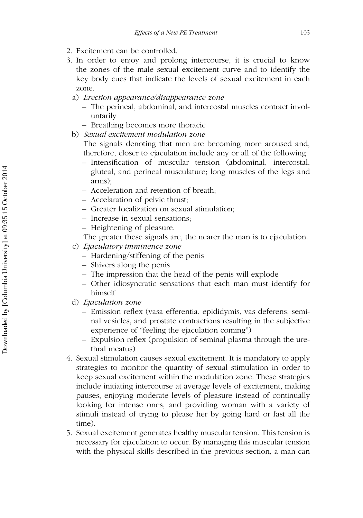- 2. Excitement can be controlled.
- 3. In order to enjoy and prolong intercourse, it is crucial to know the zones of the male sexual excitement curve and to identify the key body cues that indicate the levels of sexual excitement in each zone.
	- a) *Erection appearance/disappearance zone*
		- The perineal, abdominal, and intercostal muscles contract involuntarily
		- Breathing becomes more thoracic
	- b) *Sexual excitement modulation zone*

The signals denoting that men are becoming more aroused and, therefore, closer to ejaculation include any or all of the following:

- Intensification of muscular tension (abdominal, intercostal, gluteal, and perineal musculature; long muscles of the legs and arms);
- Acceleration and retention of breath;
- Accelaration of pelvic thrust;
- Greater focalization on sexual stimulation;
- Increase in sexual sensations;
- Heightening of pleasure.
- The greater these signals are, the nearer the man is to ejaculation.
- c) *Ejaculatory imminence zone*
	- Hardening/stiffening of the penis
	- Shivers along the penis
	- The impression that the head of the penis will explode
	- Other idiosyncratic sensations that each man must identify for himself
- d) *Ejaculation zone*
	- Emission reflex (vasa efferentia, epididymis, vas deferens, seminal vesicles, and prostate contractions resulting in the subjective experience of "feeling the ejaculation coming")
	- Expulsion reflex (propulsion of seminal plasma through the urethral meatus)
- 4. Sexual stimulation causes sexual excitement. It is mandatory to apply strategies to monitor the quantity of sexual stimulation in order to keep sexual excitement within the modulation zone. These strategies include initiating intercourse at average levels of excitement, making pauses, enjoying moderate levels of pleasure instead of continually looking for intense ones, and providing woman with a variety of stimuli instead of trying to please her by going hard or fast all the time).
- 5. Sexual excitement generates healthy muscular tension. This tension is necessary for ejaculation to occur. By managing this muscular tension with the physical skills described in the previous section, a man can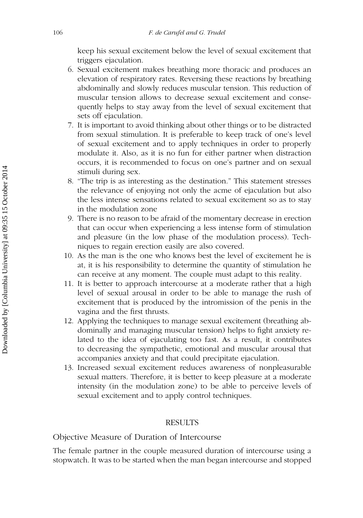keep his sexual excitement below the level of sexual excitement that triggers ejaculation.

- 6. Sexual excitement makes breathing more thoracic and produces an elevation of respiratory rates. Reversing these reactions by breathing abdominally and slowly reduces muscular tension. This reduction of muscular tension allows to decrease sexual excitement and consequently helps to stay away from the level of sexual excitement that sets off ejaculation.
- 7. It is important to avoid thinking about other things or to be distracted from sexual stimulation. It is preferable to keep track of one's level of sexual excitement and to apply techniques in order to properly modulate it. Also, as it is no fun for either partner when distraction occurs, it is recommended to focus on one's partner and on sexual stimuli during sex.
- 8. "The trip is as interesting as the destination." This statement stresses the relevance of enjoying not only the acme of ejaculation but also the less intense sensations related to sexual excitement so as to stay in the modulation zone
- 9. There is no reason to be afraid of the momentary decrease in erection that can occur when experiencing a less intense form of stimulation and pleasure (in the low phase of the modulation process). Techniques to regain erection easily are also covered.
- 10. As the man is the one who knows best the level of excitement he is at, it is his responsibility to determine the quantity of stimulation he can receive at any moment. The couple must adapt to this reality.
- 11. It is better to approach intercourse at a moderate rather that a high level of sexual arousal in order to be able to manage the rush of excitement that is produced by the intromission of the penis in the vagina and the first thrusts.
- 12. Applying the techniques to manage sexual excitement (breathing abdominally and managing muscular tension) helps to fight anxiety related to the idea of ejaculating too fast. As a result, it contributes to decreasing the sympathetic, emotional and muscular arousal that accompanies anxiety and that could precipitate ejaculation.
- 13. Increased sexual excitement reduces awareness of nonpleasurable sexual matters. Therefore, it is better to keep pleasure at a moderate intensity (in the modulation zone) to be able to perceive levels of sexual excitement and to apply control techniques.

# **RESULTS**

Objective Measure of Duration of Intercourse

The female partner in the couple measured duration of intercourse using a stopwatch. It was to be started when the man began intercourse and stopped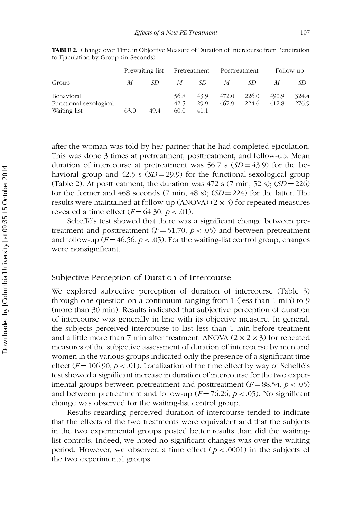|                                                      |      | Prewaiting list |                      | Pretreatment         | Posttreatment  |                | Follow-up      |                |
|------------------------------------------------------|------|-----------------|----------------------|----------------------|----------------|----------------|----------------|----------------|
| Group                                                | М    | SD              | M                    | SD.                  | М              | SD             | М              | SD.            |
| Behavioral<br>Functional-sexological<br>Waiting list | 63.0 | 49.4            | 56.8<br>42.5<br>60.0 | 43.9<br>29.9<br>41.1 | 472.0<br>467.9 | 226.0<br>224.6 | 490.9<br>412.8 | 324.4<br>276.9 |

**TABLE 2.** Change over Time in Objective Measure of Duration of Intercourse from Penetration to Ejaculation by Group (in Seconds)

after the woman was told by her partner that he had completed ejaculation. This was done 3 times at pretreatment, posttreatment, and follow-up. Mean duration of intercourse at pretreatment was 56.7 s  $(SD = 43.9)$  for the behavioral group and  $42.5$  s  $(SD = 29.9)$  for the functional-sexological group (Table 2). At posttreatment, the duration was  $472$  s (7 min, 52 s);  $(SD = 226)$ for the former and 468 seconds (7 min, 48 s);  $(SD = 224)$  for the latter. The results were maintained at follow-up (ANOVA)  $(2 \times 3)$  for repeated measures revealed a time effect  $(F = 64.30, p < .01)$ .

Scheffé's test showed that there was a significant change between pretreatment and posttreatment  $(F = 51.70, p < .05)$  and between pretreatment and follow-up ( $F = 46.56$ ,  $p < .05$ ). For the waiting-list control group, changes were nonsignificant.

# Subjective Perception of Duration of Intercourse

We explored subjective perception of duration of intercourse (Table 3) through one question on a continuum ranging from 1 (less than 1 min) to 9 (more than 30 min). Results indicated that subjective perception of duration of intercourse was generally in line with its objective measure. In general, the subjects perceived intercourse to last less than 1 min before treatment and a little more than 7 min after treatment. ANOVA  $(2 \times 2 \times 3)$  for repeated measures of the subjective assessment of duration of intercourse by men and women in the various groups indicated only the presence of a significant time effect  $(F = 106.90, p < .01)$ . Localization of the time effect by way of Scheffe's test showed a significant increase in duration of intercourse for the two experimental groups between pretreatment and posttreatment  $(F = 88.54, p < .05)$ and between pretreatment and follow-up  $(F = 76.26, p < .05)$ . No significant change was observed for the waiting-list control group.

Results regarding perceived duration of intercourse tended to indicate that the effects of the two treatments were equivalent and that the subjects in the two experimental groups posted better results than did the waitinglist controls. Indeed, we noted no significant changes was over the waiting period. However, we observed a time effect  $(p < .0001)$  in the subjects of the two experimental groups.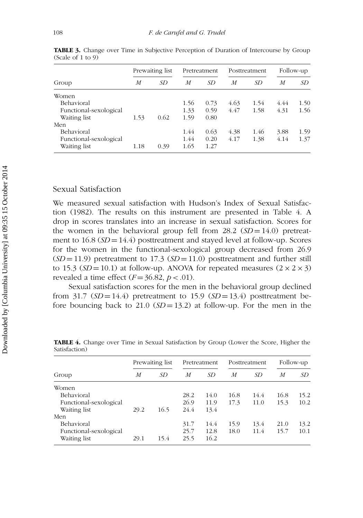|                        | Prewaiting list |      | Pretreatment |      | Posttreatment |      | Follow-up |      |
|------------------------|-----------------|------|--------------|------|---------------|------|-----------|------|
| Group                  | М               | SD   | M            | SD   | М             | SD.  | M         | SD   |
| Women                  |                 |      |              |      |               |      |           |      |
| Behavioral             |                 |      | 1.56         | 0.73 | 4.63          | 1.54 | 4.44      | 1.50 |
| Functional-sexological |                 |      | 1.33         | 0.59 | 4.47          | 1.58 | 4.31      | 1.56 |
| Waiting list           | 1.53            | 0.62 | 1.59         | 0.80 |               |      |           |      |
| Men                    |                 |      |              |      |               |      |           |      |
| <b>Behavioral</b>      |                 |      | 1.44         | 0.63 | 4.38          | 1.46 | 3.88      | 1.59 |
| Functional-sexological |                 |      | 1.44         | 0.20 | 4.17          | 1.38 | 4.14      | 1.37 |
| Waiting list           | 1.18            | 0.39 | 1.65         | 1.27 |               |      |           |      |

**TABLE 3.** Change over Time in Subjective Perception of Duration of Intercourse by Group (Scale of 1 to 9)

## Sexual Satisfaction

We measured sexual satisfaction with Hudson's Index of Sexual Satisfaction (1982). The results on this instrument are presented in Table 4. A drop in scores translates into an increase in sexual satisfaction. Scores for the women in the behavioral group fell from  $28.2$   $(SD = 14.0)$  pretreatment to 16.8 (*SD* = 14.4) posttreatment and stayed level at follow-up. Scores for the women in the functional-sexological group decreased from 26.9  $(SD=11.9)$  pretreatment to 17.3  $(SD=11.0)$  posttreatment and further still to 15.3 ( $SD = 10.1$ ) at follow-up. ANOVA for repeated measures ( $2 \times 2 \times 3$ ) revealed a time effect  $(F = 36.82, p < .01)$ .

Sexual satisfaction scores for the men in the behavioral group declined from 31.7 ( $SD = 14.4$ ) pretreatment to 15.9 ( $SD = 13.4$ ) posttreatment before bouncing back to 21.0  $(SD=13.2)$  at follow-up. For the men in the

|                        | Prewaiting list |      | Pretreatment |      | Posttreatment |           | Follow-up |      |
|------------------------|-----------------|------|--------------|------|---------------|-----------|-----------|------|
| Group                  | М               | SD   | М            | SD   | М             | <i>SD</i> | М         | SD   |
| Women                  |                 |      |              |      |               |           |           |      |
| <b>Behavioral</b>      |                 |      | 28.2         | 14.0 | 16.8          | 14.4      | 16.8      | 15.2 |
| Functional-sexological |                 |      | 26.9         | 11.9 | 17.3          | 11.0      | 15.3      | 10.2 |
| Waiting list           | 29.2            | 16.5 | 24.4         | 13.4 |               |           |           |      |
| Men                    |                 |      |              |      |               |           |           |      |
| Behavioral             |                 |      | 31.7         | 14.4 | 15.9          | 13.4      | 21.0      | 13.2 |
| Functional-sexological |                 |      | 25.7         | 12.8 | 18.0          | 11.4      | 15.7      | 10.1 |
| Waiting list           | 29.1            | 15.4 | 25.5         | 16.2 |               |           |           |      |

**TABLE 4.** Change over Time in Sexual Satisfaction by Group (Lower the Score, Higher the Satisfaction)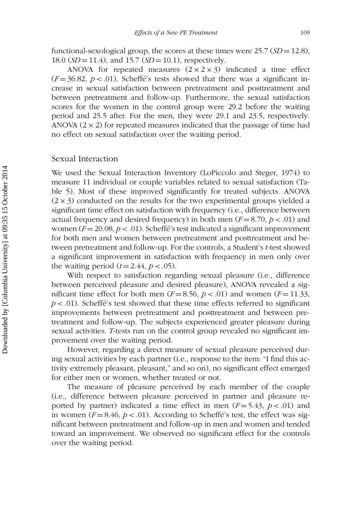functional-sexological group, the scores at these times were  $25.7 (SD = 12.8)$ , 18.0 (*SD* = 11.4), and 15.7 (*SD* = 10.1), respectively.

ANOVA for repeated measures  $(2 \times 2 \times 3)$  indicated a time effect  $(F = 36.82, p < .01)$ . Scheffe's tests showed that there was a significant increase in sexual satisfaction between pretreatment and posttreatment and between pretreatment and follow-up. Furthermore, the sexual satisfaction scores for the women in the control group were 29.2 before the waiting period and 25.5 after. For the men, they were 29.1 and 23.5, respectively. ANOVA  $(2 \times 2)$  for repeated measures indicated that the passage of time had no effect on sexual satisfaction over the waiting period.

## Sexual Interaction

We used the Sexual Interaction Inventory (LoPiccolo and Steger, 1974) to measure 11 individual or couple variables related to sexual satisfaction (Table 5). Most of these improved significantly for treated subjects. ANOVA  $(2 \times 3)$  conducted on the results for the two experimental groups yielded a significant time effect on satisfaction with frequency (i.e., difference between actual frequency and desired frequency) in both men  $(F = 8.70, p < .01)$  and women  $(F = 20.08, p < .01)$ . Scheffe's test indicated a significant improvement for both men and women between pretreatment and posttreatment and between pretreatment and follow-up. For the controls, a Student's *t*-test showed a significant improvement in satisfaction with frequency in men only over the waiting period  $(t=2.44, p < .05)$ .

With respect to satisfaction regarding sexual pleasure (i.e., difference between perceived pleasure and desired pleasure), ANOVA revealed a significant time effect for both men  $(F=8.56, p < .01)$  and women  $(F=11.33,$  $p$  < .01). Scheffe's test showed that these time effects referred to significant improvements between pretreatment and posttreatment and between pretreatment and follow-up. The subjects experienced greater pleasure during sexual activities. *T*-tests run on the control group revealed no significant improvement over the waiting period.

However, regarding a direct measure of sexual pleasure perceived during sexual activities by each partner (i.e., response to the item: "I find this activity extremely pleasant, pleasant," and so on), no significant effect emerged for either men or women, whether treated or not.

The measure of pleasure perceived by each member of the couple (i.e., difference between pleasure perceived in partner and pleasure reported by partner) indicated a time effect in men  $(F=5.43, p<.01)$  and in women  $(F = 8.46, p < .01)$ . According to Scheffe's test, the effect was significant between pretreatment and follow-up in men and women and tended toward an improvement. We observed no significant effect for the controls over the waiting period.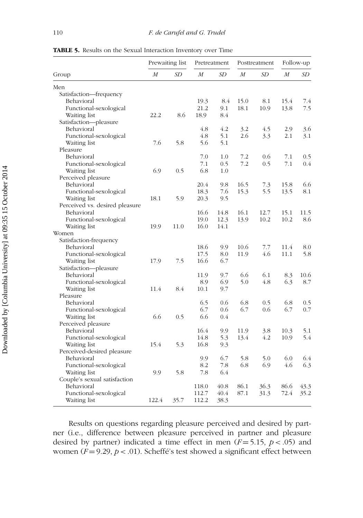**TABLE 5.** Results on the Sexual Interaction Inventory over Time

|                                | Prewaiting list  |      |                  | Pretreatment |      | Posttreatment |                  | Follow-up |  |
|--------------------------------|------------------|------|------------------|--------------|------|---------------|------------------|-----------|--|
| Group                          | $\boldsymbol{M}$ | SD   | $\boldsymbol{M}$ | SD           | M    | SD            | $\boldsymbol{M}$ | SD        |  |
| Men                            |                  |      |                  |              |      |               |                  |           |  |
| Satisfaction-frequency         |                  |      |                  |              |      |               |                  |           |  |
| Behavioral                     |                  |      | 19.3             | 8.4          | 15.0 | 8.1           | 15.4             | 7.4       |  |
| Functional-sexological         |                  |      | 21.2             | 9.1          | 18.1 | 10.9          | 13.8             | 7.5       |  |
| Waiting list                   | 22.2             | 8.6  | 18.9             | 8.4          |      |               |                  |           |  |
| Satisfaction-pleasure          |                  |      |                  |              |      |               |                  |           |  |
| Behavioral                     |                  |      | 4.8              | 4.2          | 3.2  | 4.5           | 2.9              | 3.6       |  |
| Functional-sexological         |                  |      | 4.8              | 5.1          | 2.6  | 3.3           | 2.1              | 3.1       |  |
| Waiting list                   | 7.6              | 5.8  | 5.6              | 5.1          |      |               |                  |           |  |
| Pleasure                       |                  |      |                  |              |      |               |                  |           |  |
| Behavioral                     |                  |      | 7.0              | 1.0          | 7.2  | 0.6           | 7.1              | 0.5       |  |
| Functional-sexological         |                  |      | 7.1              | 0.5          | 7.2  | 0.5           | 7.1              | 0.4       |  |
| Waiting list                   | 6.9              | 0.5  | 6.8              | 1.0          |      |               |                  |           |  |
| Perceived pleasure             |                  |      |                  |              |      |               |                  |           |  |
| Behavioral                     |                  |      | 20.4             | 9.8          | 16.5 | 7.3           | 15.8             | 6.6       |  |
| Functional-sexological         |                  |      | 18.3             | 7.6          | 15.3 | 5.5           | 13.5             | 8.1       |  |
| Waiting list                   | 18.1             | 5.9  | 20.3             | 9.5          |      |               |                  |           |  |
| Perceived vs. desired pleasure |                  |      |                  |              |      |               |                  |           |  |
| Behavioral                     |                  |      | 16.6             | 14.8         | 16.1 | 12.7          | 15.1             | 11.5      |  |
| Functional-sexological         |                  |      | 19.0             | 12.3         | 13.9 | 10.2          | 10.2             | 8.6       |  |
| Waiting list                   | 19.9             | 11.0 | 16.0             | 14.1         |      |               |                  |           |  |
| Women                          |                  |      |                  |              |      |               |                  |           |  |
| Satisfaction-frequency         |                  |      |                  |              |      |               |                  |           |  |
| Behavioral                     |                  |      | 18.6             | 9.9          | 10.6 | 7.7           | 11.4             | 8.0       |  |
| Functional-sexological         |                  |      | 17.5             | 8.0          | 11.9 | 4.6           | 11.1             | 5.8       |  |
| Waiting list                   | 17.9             | 7.5  | 16.6             | 6.7          |      |               |                  |           |  |
| Satisfaction-pleasure          |                  |      |                  |              |      |               |                  |           |  |
| Behavioral                     |                  |      | 11.9             | 9.7          | 6.6  | 6.1           | 8.3              | 10.6      |  |
|                                |                  |      |                  | 6.9          | 5.0  | 4.8           | 6.3              | 8.7       |  |
| Functional-sexological         | 11.4             | 8.4  | 8.9<br>10.1      | 9.7          |      |               |                  |           |  |
| Waiting list<br>Pleasure       |                  |      |                  |              |      |               |                  |           |  |
|                                |                  |      |                  |              |      |               |                  |           |  |
| Behavioral                     |                  |      | 6.5              | 0.6          | 6.8  | 0.5           | 6.8              | 0.5       |  |
| Functional-sexological         | 6.6              |      | 6.7              | 0.6          | 6.7  | 0.6           | 6.7              | 0.7       |  |
| Waiting list                   |                  | 0.5  | 6.6              | 0.4          |      |               |                  |           |  |
| Perceived pleasure             |                  |      |                  |              |      |               |                  |           |  |
| Behavioral                     |                  |      | 16.4             | 9.9          | 11.9 | 3.8           | 10.3             | 5.1       |  |
| Functional-sexological         |                  |      | 14.8             | 5.3          | 13.4 | 4.2           | 10.9             | 5.4       |  |
| Waiting list                   | 15.4             | 5.3  | 16.8             | 9.3          |      |               |                  |           |  |
| Perceived-desired pleasure     |                  |      |                  |              |      |               |                  |           |  |
| Behavioral                     |                  |      | 9.9              | 6.7          | 5.8  | 5.0           | 6.0              | 6.4       |  |
| Functional-sexological         |                  |      | 8.2              | 7.8          | 6.8  | 6.9           | 4.6              | 6.3       |  |
| Waiting list                   | 9.9              | 5.8  | 7.8              | 6.4          |      |               |                  |           |  |
| Couple's sexual satisfaction   |                  |      |                  |              |      |               |                  |           |  |
| Behavioral                     |                  |      | 118.0            | 40.8         | 86.1 | 36.3          | 86.6             | 43.3      |  |
| Functional-sexological         |                  |      | 112.7            | 40.4         | 87.1 | 31.3          | 72.4             | 35.2      |  |
| Waiting list                   | 122.4            | 35.7 | 112.2            | 38.3         |      |               |                  |           |  |

Results on questions regarding pleasure perceived and desired by partner (i.e., difference between pleasure perceived in partner and pleasure desired by partner) indicated a time effect in men  $(F = 5.15, p < .05)$  and women ( $F = 9.29$ ,  $p < .01$ ). Scheffe's test showed a significant effect between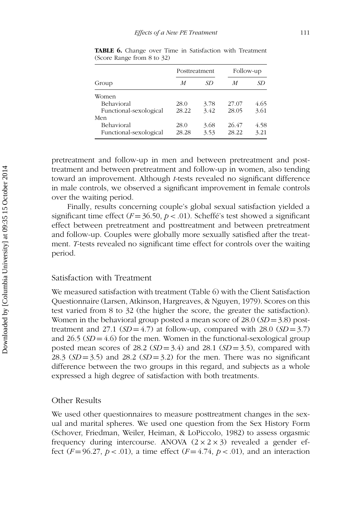|                        | Posttreatment |      | Follow-up |      |  |
|------------------------|---------------|------|-----------|------|--|
| Group                  | M             | SD   | M         | SD   |  |
| Women                  |               |      |           |      |  |
| <b>Behavioral</b>      | 28.0          | 3.78 | 27.07     | 4.65 |  |
| Functional-sexological | 28.22         | 3.42 | 28.05     | 3.61 |  |
| Men                    |               |      |           |      |  |
| <b>Behavioral</b>      | 28.0          | 3.68 | 26.47     | 4.58 |  |
| Functional-sexological | 28.28         | 3.53 | 28.22     | 3.21 |  |

**TABLE 6.** Change over Time in Satisfaction with Treatment (Score Range from 8 to 32)

pretreatment and follow-up in men and between pretreatment and posttreatment and between pretreatment and follow-up in women, also tending toward an improvement. Although *t*-tests revealed no significant difference in male controls, we observed a significant improvement in female controls over the waiting period.

Finally, results concerning couple's global sexual satisfaction yielded a significant time effect  $(F = 36.50, p < .01)$ . Scheffe's test showed a significant effect between pretreatment and posttreatment and between pretreatment and follow-up. Couples were globally more sexually satisfied after the treatment. *T*-tests revealed no significant time effect for controls over the waiting period.

### Satisfaction with Treatment

We measured satisfaction with treatment (Table 6) with the Client Satisfaction Questionnaire (Larsen, Atkinson, Hargreaves, & Nguyen, 1979). Scores on this test varied from 8 to 32 (the higher the score, the greater the satisfaction). Women in the behavioral group posted a mean score of 28.0 (*SD* = 3.8) posttreatment and 27.1 ( $SD = 4.7$ ) at follow-up, compared with 28.0 ( $SD = 3.7$ ) and  $26.5$  ( $SD = 4.6$ ) for the men. Women in the functional-sexological group posted mean scores of 28.2 ( $SD = 3.4$ ) and 28.1 ( $SD = 3.5$ ), compared with 28.3 ( $SD = 3.5$ ) and 28.2 ( $SD = 3.2$ ) for the men. There was no significant difference between the two groups in this regard, and subjects as a whole expressed a high degree of satisfaction with both treatments.

# Other Results

We used other questionnaires to measure posttreatment changes in the sexual and marital spheres. We used one question from the Sex History Form (Schover, Friedman, Weiler, Heiman, & LoPiccolo, 1982) to assess orgasmic frequency during intercourse. ANOVA  $(2 \times 2 \times 3)$  revealed a gender effect  $(F = 96.27, p < .01)$ , a time effect  $(F = 4.74, p < .01)$ , and an interaction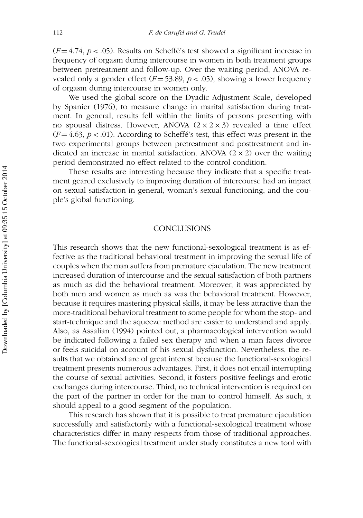$(F = 4.74, p < .05)$ . Results on Scheffe's test showed a significant increase in frequency of orgasm during intercourse in women in both treatment groups between pretreatment and follow-up. Over the waiting period, ANOVA revealed only a gender effect  $(F = 53.89, p < .05)$ , showing a lower frequency of orgasm during intercourse in women only.

We used the global score on the Dyadic Adjustment Scale, developed by Spanier (1976), to measure change in marital satisfaction during treatment. In general, results fell within the limits of persons presenting with no spousal distress. However, ANOVA  $(2 \times 2 \times 3)$  revealed a time effect  $(F = 4.63, p < .01)$ . According to Scheffe's test, this effect was present in the two experimental groups between pretreatment and posttreatment and indicated an increase in marital satisfaction. ANOVA  $(2 \times 2)$  over the waiting period demonstrated no effect related to the control condition.

These results are interesting because they indicate that a specific treatment geared exclusively to improving duration of intercourse had an impact on sexual satisfaction in general, woman's sexual functioning, and the couple's global functioning.

## **CONCLUSIONS**

This research shows that the new functional-sexological treatment is as effective as the traditional behavioral treatment in improving the sexual life of couples when the man suffers from premature ejaculation. The new treatment increased duration of intercourse and the sexual satisfaction of both partners as much as did the behavioral treatment. Moreover, it was appreciated by both men and women as much as was the behavioral treatment. However, because it requires mastering physical skills, it may be less attractive than the more-traditional behavioral treatment to some people for whom the stop- and start-technique and the squeeze method are easier to understand and apply. Also, as Assalian (1994) pointed out, a pharmacological intervention would be indicated following a failed sex therapy and when a man faces divorce or feels suicidal on account of his sexual dysfunction. Nevertheless, the results that we obtained are of great interest because the functional-sexological treatment presents numerous advantages. First, it does not entail interrupting the course of sexual activities. Second, it fosters positive feelings and erotic exchanges during intercourse. Third, no technical intervention is required on the part of the partner in order for the man to control himself. As such, it should appeal to a good segment of the population.

This research has shown that it is possible to treat premature ejaculation successfully and satisfactorily with a functional-sexological treatment whose characteristics differ in many respects from those of traditional approaches. The functional-sexological treatment under study constitutes a new tool with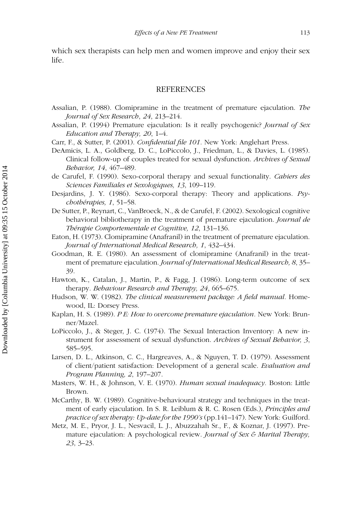which sex therapists can help men and women improve and enjoy their sex life.

#### REFERENCES

- Assalian, P. (1988). Clomipramine in the treatment of premature ejaculation. *The Journal of Sex Research*, *24*, 213–214.
- Assalian, P. (1994) Premature ejaculation: Is it really psychogenic? *Journal of Sex Education and Therapy, 20*, 1–4.
- Carr, F., & Sutter, P. (2001). *Confidential file 101.* New York: Anglehart Press.
- DeAmicis, L. A., Goldberg, D. C., LoPiccolo, J., Friedman, L., & Davies, L. (1985). Clinical follow-up of couples treated for sexual dysfunction. *Archives of Sexual Behavior, 14*, 467–489.
- de Carufel, F. (1990). Sexo-corporal therapy and sexual functionality. *Cahiers des Sciences Familiales et Sexologiques, 13*, 109–119.
- Desjardins, J. Y. (1986). Sexo-corporal therapy: Theory and applications. *Psychoth´erapies, 1*, 51–58.
- De Sutter, P., Reynart, C., VanBroeck, N., & de Carufel, F. (2002). Sexological cognitive behavioral bibliotherapy in the treatment of premature ejaculation. *Journal de Th´erapie Comportementale et Cognitive, 12*, 131–136.
- Eaton, H. (1973). Clomipramine (Anafranil) in the treatment of premature ejaculation. *Journal of International Medical Research, 1*, 432–434.
- Goodman, R. E. (1980). An assessment of clomipramine (Anafranil) in the treatment of premature ejaculation. *Journal of International Medical Research, 8*, 35– 39.
- Hawton, K., Catalan, J., Martin, P., & Fagg, J. (1986). Long-term outcome of sex therapy. *Behaviour Research and Therapy, 24*, 665–675.
- Hudson, W. W. (1982). *The clinical measurement package: A field manual.* Homewood, IL: Dorsey Press.
- Kaplan, H. S. (1989). *P E: How to overcome premature ejaculation.* New York: Brunner/Mazel.
- LoPiccolo, J., & Steger, J. C. (1974). The Sexual Interaction Inventory: A new instrument for assessment of sexual dysfunction. *Archives of Sexual Behavior, 3*, 585–595.
- Larsen, D. L., Atkinson, C. C., Hargreaves, A., & Nguyen, T. D. (1979). Assessment of client/patient satisfaction: Development of a general scale. *Evaluation and Program Planning, 2*, 197–207.
- Masters, W. H., & Johnson, V. E. (1970). *Human sexual inadequacy.* Boston: Little Brown.
- McCarthy, B. W. (1989). Cognitive-behavioural strategy and techniques in the treatment of early ejaculation. In S. R. Leiblum & R. C. Rosen (Eds.), *Principles and practice of sex therapy: Up-date for the 1990's* (pp.141–147). New York: Guilford.
- Metz, M. E., Pryor, J. L., Nesvacil, L. J., Abuzzahah Sr., F., & Koznar, J. (1997). Premature ejaculation: A psychological review. *Journal of Sex & Marital Therapy, 23*, 3–23.